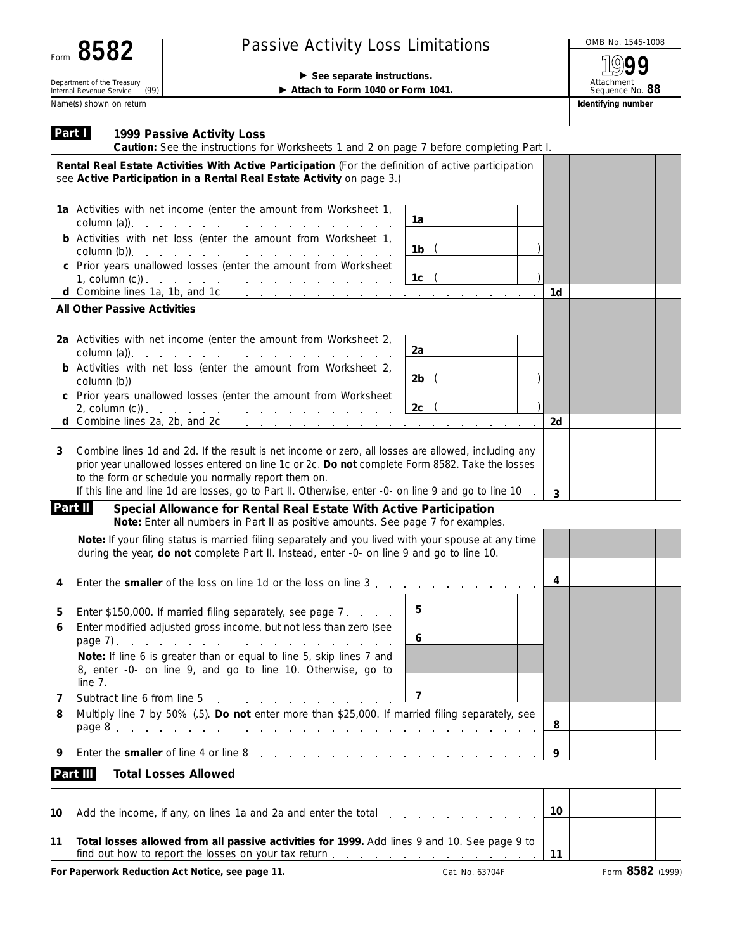| Form 8582                                                      | <b>Passive Activity Loss Lim</b>            |
|----------------------------------------------------------------|---------------------------------------------|
|                                                                | $\triangleright$ See separate instructions. |
| Department of the Treasury<br>(99)<br>Internal Revenue Service | Attach to Form 1040 or Form 1               |

## Passive Activity Loss Limitations And Allowski Activity Loss Limitations

Attach to Form 1040 or Form 1041.

Attachment Sequence No. **88 1999**

Name(s) shown on return **Identifying number Identifying number Identifying number** 

| Part I  | 1999 Passive Activity Loss<br>Caution: See the instructions for Worksheets 1 and 2 on page 7 before completing Part I.                                                                                                                                                                                                                                                                                                                                                                                                                                   |                     |
|---------|----------------------------------------------------------------------------------------------------------------------------------------------------------------------------------------------------------------------------------------------------------------------------------------------------------------------------------------------------------------------------------------------------------------------------------------------------------------------------------------------------------------------------------------------------------|---------------------|
|         | Rental Real Estate Activities With Active Participation (For the definition of active participation<br>see Active Participation in a Rental Real Estate Activity on page 3.)                                                                                                                                                                                                                                                                                                                                                                             |                     |
|         | 1a Activities with net income (enter the amount from Worksheet 1,<br>$\text{column (a)}$ $\ldots$ $\ldots$ $\ldots$ $\ldots$ $\ldots$ $\ldots$                                                                                                                                                                                                                                                                                                                                                                                                           | 1a                  |
|         | <b>b</b> Activities with net loss (enter the amount from Worksheet 1,<br>$\text{column (b)}$ .                                                                                                                                                                                                                                                                                                                                                                                                                                                           | 1 <sub>b</sub>      |
|         | c Prior years unallowed losses (enter the amount from Worksheet<br>1, column (c)).                                                                                                                                                                                                                                                                                                                                                                                                                                                                       | 1c<br>1d            |
|         | <b>All Other Passive Activities</b>                                                                                                                                                                                                                                                                                                                                                                                                                                                                                                                      |                     |
|         | 2a Activities with net income (enter the amount from Worksheet 2,<br>column (a)). $\therefore$ $\therefore$ $\therefore$ $\therefore$ $\therefore$ $\therefore$ $\therefore$ $\therefore$ $\therefore$ $\therefore$ $\therefore$ $\therefore$ $\therefore$ $\therefore$ $\therefore$ $\therefore$ $\therefore$ $\therefore$ $\therefore$ $\therefore$ $\therefore$ $\therefore$ $\therefore$ $\therefore$ $\therefore$ $\therefore$ $\therefore$ $\therefore$ $\therefore$ $\therefore$ $\therefore$ $\therefore$ $\therefore$ $\therefore$ $\therefore$ | 2a                  |
|         | <b>b</b> Activities with net loss (enter the amount from Worksheet 2,<br>$\text{column (b)}$ .                                                                                                                                                                                                                                                                                                                                                                                                                                                           | 2b                  |
|         | c Prior years unallowed losses (enter the amount from Worksheet                                                                                                                                                                                                                                                                                                                                                                                                                                                                                          | 2c<br>2d            |
| 3       | Combine lines 1d and 2d. If the result is net income or zero, all losses are allowed, including any<br>prior year unallowed losses entered on line 1c or 2c. Do not complete Form 8582. Take the losses<br>to the form or schedule you normally report them on.<br>If this line and line 1d are losses, go to Part II. Otherwise, enter -0- on line 9 and go to line 10                                                                                                                                                                                  | $\overline{3}$      |
| Part II | Special Allowance for Rental Real Estate With Active Participation<br>Note: Enter all numbers in Part II as positive amounts. See page 7 for examples.                                                                                                                                                                                                                                                                                                                                                                                                   |                     |
|         | Note: If your filing status is married filing separately and you lived with your spouse at any time<br>during the year, do not complete Part II. Instead, enter -0- on line 9 and go to line 10.                                                                                                                                                                                                                                                                                                                                                         |                     |
| 4       |                                                                                                                                                                                                                                                                                                                                                                                                                                                                                                                                                          | 4                   |
| 5       | Enter \$150,000. If married filing separately, see page 7.                                                                                                                                                                                                                                                                                                                                                                                                                                                                                               | 5                   |
| 6       | Enter modified adjusted gross income, but not less than zero (see<br>Note: If line 6 is greater than or equal to line 5, skip lines 7 and                                                                                                                                                                                                                                                                                                                                                                                                                | 6                   |
|         | 8, enter -0- on line 9, and go to line 10. Otherwise, go to<br>line 7.                                                                                                                                                                                                                                                                                                                                                                                                                                                                                   |                     |
| 7<br>8  | Subtract line 6 from line 5<br>and a strategic and a strategic<br>Multiply line 7 by 50% (.5). Do not enter more than \$25,000. If married filing separately, see                                                                                                                                                                                                                                                                                                                                                                                        | $\overline{7}$<br>8 |
| 9       |                                                                                                                                                                                                                                                                                                                                                                                                                                                                                                                                                          | 9                   |
|         | Part III<br><b>Total Losses Allowed</b>                                                                                                                                                                                                                                                                                                                                                                                                                                                                                                                  |                     |
| 10      | Add the income, if any, on lines 1a and 2a and enter the total                                                                                                                                                                                                                                                                                                                                                                                                                                                                                           | 10                  |
| 11      | Total losses allowed from all passive activities for 1999. Add lines 9 and 10. See page 9 to                                                                                                                                                                                                                                                                                                                                                                                                                                                             | 11                  |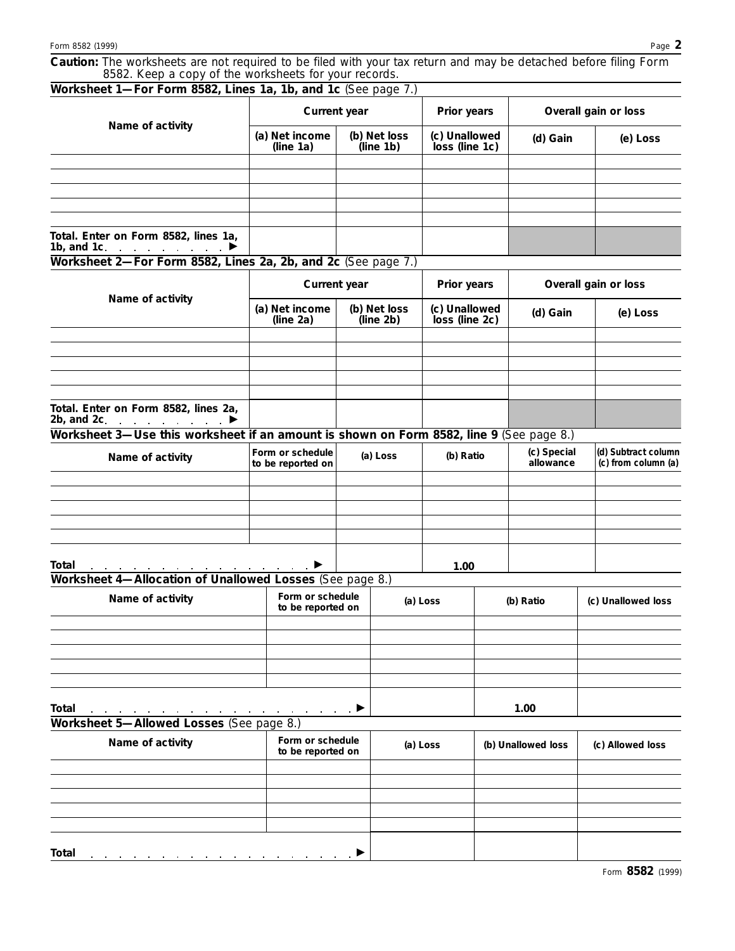**Caution:** *The worksheets are not required to be filed with your tax return and may be detached before filing Form 8582. Keep a copy of the worksheets for your records.*

| Worksheet 1-For Form 8582, Lines 1a, 1b, and 1c (See page 7.)                           |                                       |                                       |      |                                 |           |                          |                    |                                            |  |
|-----------------------------------------------------------------------------------------|---------------------------------------|---------------------------------------|------|---------------------------------|-----------|--------------------------|--------------------|--------------------------------------------|--|
| Name of activity                                                                        | Current year                          |                                       |      | Prior years                     |           | Overall gain or loss     |                    |                                            |  |
|                                                                                         | (a) Net income<br>(line 1a)           | (b) Net loss<br>(line 1b)             |      | (c) Unallowed<br>loss (line 1c) |           | (d) Gain                 |                    | (e) Loss                                   |  |
|                                                                                         |                                       |                                       |      |                                 |           |                          |                    |                                            |  |
|                                                                                         |                                       |                                       |      |                                 |           |                          |                    |                                            |  |
|                                                                                         |                                       |                                       |      |                                 |           |                          |                    |                                            |  |
|                                                                                         |                                       |                                       |      |                                 |           |                          |                    |                                            |  |
| Total. Enter on Form 8582, lines 1a,<br>1b, and 1c.                                     |                                       |                                       |      |                                 |           |                          |                    |                                            |  |
| Worksheet 2-For Form 8582, Lines 2a, 2b, and 2c (See page 7.)                           |                                       |                                       |      |                                 |           |                          |                    |                                            |  |
|                                                                                         |                                       |                                       |      |                                 |           |                          |                    |                                            |  |
| Name of activity                                                                        | Current year                          |                                       |      | Prior years                     |           | Overall gain or loss     |                    |                                            |  |
|                                                                                         | (a) Net income<br>(line 2a)           | (b) Net loss<br>(line 2b)             |      | (c) Unallowed<br>loss (line 2c) |           | (d) Gain                 |                    | (e) Loss                                   |  |
|                                                                                         |                                       |                                       |      |                                 |           |                          |                    |                                            |  |
|                                                                                         |                                       |                                       |      |                                 |           |                          |                    |                                            |  |
|                                                                                         |                                       |                                       |      |                                 |           |                          |                    |                                            |  |
|                                                                                         |                                       |                                       |      |                                 |           |                          |                    |                                            |  |
| Total. Enter on Form 8582, lines 2a,<br>2b, and 2c.                                     |                                       |                                       |      |                                 |           |                          |                    |                                            |  |
| Worksheet 3-Use this worksheet if an amount is shown on Form 8582, line 9 (See page 8.) |                                       |                                       |      |                                 |           |                          |                    |                                            |  |
| Name of activity                                                                        | Form or schedule<br>to be reported on | (a) Loss                              |      | (b) Ratio                       |           | (c) Special<br>allowance |                    | (d) Subtract column<br>(c) from column (a) |  |
|                                                                                         |                                       |                                       |      |                                 |           |                          |                    |                                            |  |
|                                                                                         |                                       |                                       |      |                                 |           |                          |                    |                                            |  |
|                                                                                         |                                       |                                       |      |                                 |           |                          |                    |                                            |  |
|                                                                                         |                                       |                                       |      |                                 |           |                          |                    |                                            |  |
|                                                                                         |                                       |                                       |      |                                 |           |                          |                    |                                            |  |
| Total<br>the contract of the contract of the contract of the con-                       |                                       |                                       | 1.00 |                                 |           |                          |                    |                                            |  |
| Worksheet 4-Allocation of Unallowed Losses (See page 8.)                                |                                       |                                       |      |                                 |           |                          |                    |                                            |  |
| Name of activity                                                                        | Form or schedule                      |                                       |      | (a) Loss                        | (b) Ratio |                          | (c) Unallowed loss |                                            |  |
|                                                                                         | to be reported on                     |                                       |      |                                 |           |                          |                    |                                            |  |
|                                                                                         |                                       |                                       |      |                                 |           |                          |                    |                                            |  |
|                                                                                         |                                       |                                       |      |                                 |           |                          |                    |                                            |  |
|                                                                                         |                                       |                                       |      |                                 |           |                          |                    |                                            |  |
|                                                                                         |                                       |                                       |      |                                 |           |                          |                    |                                            |  |
|                                                                                         |                                       |                                       |      |                                 |           |                          |                    |                                            |  |
| Total                                                                                   | <u>n an an</u> an an an D             |                                       |      |                                 |           | 1.00                     |                    |                                            |  |
| Worksheet 5-Allowed Losses (See page 8.)                                                |                                       |                                       |      |                                 |           |                          |                    |                                            |  |
| Name of activity                                                                        |                                       | Form or schedule<br>to be reported on |      | (a) Loss                        |           | (b) Unallowed loss       |                    | (c) Allowed loss                           |  |
|                                                                                         |                                       |                                       |      |                                 |           |                          |                    |                                            |  |
|                                                                                         |                                       |                                       |      |                                 |           |                          |                    |                                            |  |
|                                                                                         |                                       |                                       |      |                                 |           |                          |                    |                                            |  |
|                                                                                         |                                       |                                       |      |                                 |           |                          |                    |                                            |  |
|                                                                                         |                                       |                                       |      |                                 |           |                          |                    |                                            |  |
| Total                                                                                   |                                       |                                       |      |                                 |           |                          |                    |                                            |  |